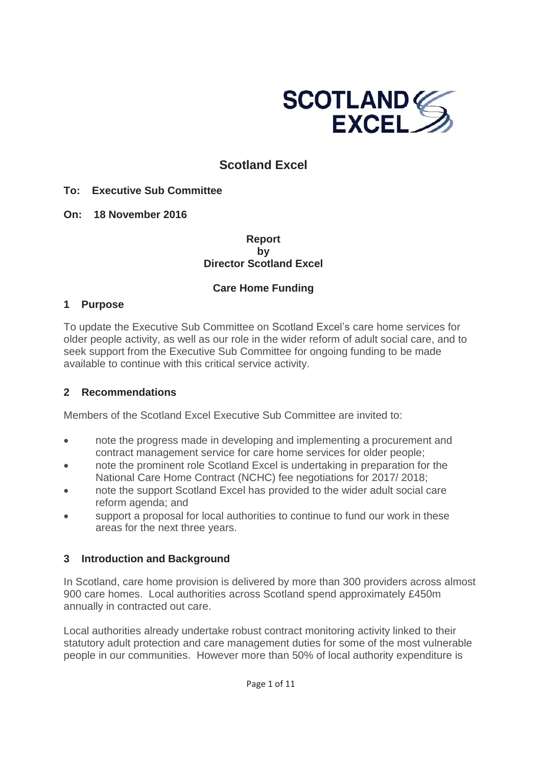

## **Scotland Excel**

#### **To: Executive Sub Committee**

**On: 18 November 2016**

**Report by Director Scotland Excel**

### **Care Home Funding**

#### **1 Purpose**

To update the Executive Sub Committee on Scotland Excel's care home services for older people activity, as well as our role in the wider reform of adult social care, and to seek support from the Executive Sub Committee for ongoing funding to be made available to continue with this critical service activity.

### **2 Recommendations**

Members of the Scotland Excel Executive Sub Committee are invited to:

- note the progress made in developing and implementing a procurement and contract management service for care home services for older people;
- note the prominent role Scotland Excel is undertaking in preparation for the National Care Home Contract (NCHC) fee negotiations for 2017/ 2018;
- note the support Scotland Excel has provided to the wider adult social care reform agenda; and
- support a proposal for local authorities to continue to fund our work in these areas for the next three years.

### **3 Introduction and Background**

In Scotland, care home provision is delivered by more than 300 providers across almost 900 care homes. Local authorities across Scotland spend approximately £450m annually in contracted out care.

Local authorities already undertake robust contract monitoring activity linked to their statutory adult protection and care management duties for some of the most vulnerable people in our communities. However more than 50% of local authority expenditure is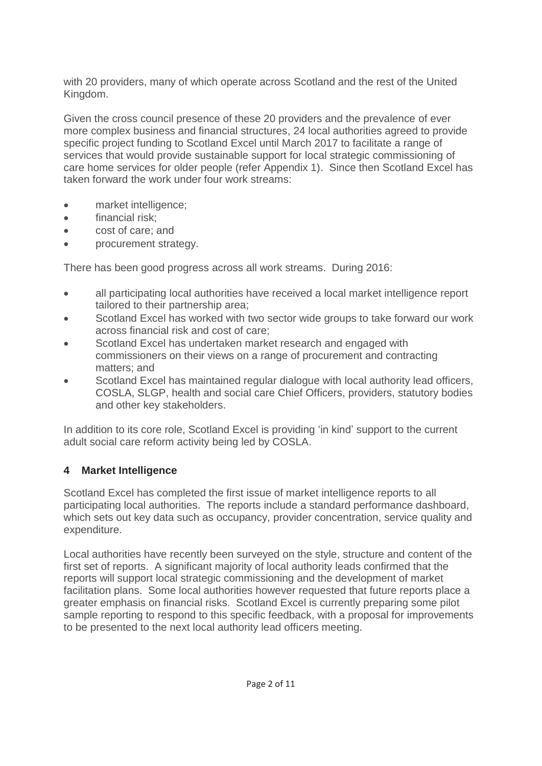with 20 providers, many of which operate across Scotland and the rest of the United Kingdom.

Given the cross council presence of these 20 providers and the prevalence of ever more complex business and financial structures, 24 local authorities agreed to provide specific project funding to Scotland Excel until March 2017 to facilitate a range of services that would provide sustainable support for local strategic commissioning of care home services for older people (refer Appendix 1). Since then Scotland Excel has taken forward the work under four work streams:

- market intelligence;
- $\bullet$  financial risk:
- cost of care; and
- procurement strategy.

There has been good progress across all work streams. During 2016:

- all participating local authorities have received a local market intelligence report tailored to their partnership area;
- Scotland Excel has worked with two sector wide groups to take forward our work across financial risk and cost of care;
- Scotland Excel has undertaken market research and engaged with commissioners on their views on a range of procurement and contracting matters; and
- Scotland Excel has maintained regular dialogue with local authority lead officers, COSLA, SLGP, health and social care Chief Officers, providers, statutory bodies and other key stakeholders.

In addition to its core role, Scotland Excel is providing 'in kind' support to the current adult social care reform activity being led by COSLA.

## **4 Market Intelligence**

Scotland Excel has completed the first issue of market intelligence reports to all participating local authorities. The reports include a standard performance dashboard, which sets out key data such as occupancy, provider concentration, service quality and expenditure.

Local authorities have recently been surveyed on the style, structure and content of the first set of reports. A significant majority of local authority leads confirmed that the reports will support local strategic commissioning and the development of market facilitation plans. Some local authorities however requested that future reports place a greater emphasis on financial risks. Scotland Excel is currently preparing some pilot sample reporting to respond to this specific feedback, with a proposal for improvements to be presented to the next local authority lead officers meeting.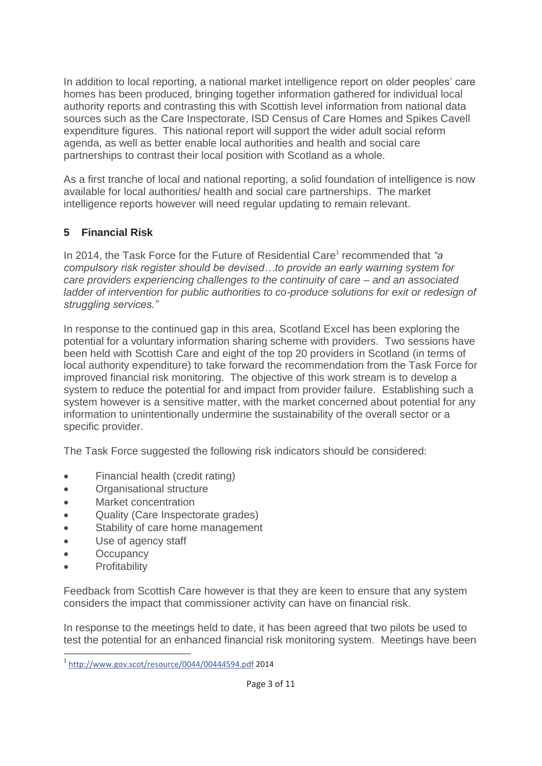In addition to local reporting, a national market intelligence report on older peoples' care homes has been produced, bringing together information gathered for individual local authority reports and contrasting this with Scottish level information from national data sources such as the Care Inspectorate, ISD Census of Care Homes and Spikes Cavell expenditure figures. This national report will support the wider adult social reform agenda, as well as better enable local authorities and health and social care partnerships to contrast their local position with Scotland as a whole.

As a first tranche of local and national reporting, a solid foundation of intelligence is now available for local authorities/ health and social care partnerships. The market intelligence reports however will need regular updating to remain relevant.

## **5 Financial Risk**

In 2014, the Task Force for the Future of Residential Care<sup>1</sup> recommended that "a *compulsory risk register should be devised…to provide an early warning system for care providers experiencing challenges to the continuity of care – and an associated ladder of intervention for public authorities to co-produce solutions for exit or redesign of struggling services."*

In response to the continued gap in this area, Scotland Excel has been exploring the potential for a voluntary information sharing scheme with providers. Two sessions have been held with Scottish Care and eight of the top 20 providers in Scotland (in terms of local authority expenditure) to take forward the recommendation from the Task Force for improved financial risk monitoring. The objective of this work stream is to develop a system to reduce the potential for and impact from provider failure. Establishing such a system however is a sensitive matter, with the market concerned about potential for any information to unintentionally undermine the sustainability of the overall sector or a specific provider.

The Task Force suggested the following risk indicators should be considered:

- Financial health (credit rating)
- Organisational structure
- Market concentration
- Quality (Care Inspectorate grades)
- Stability of care home management
- Use of agency staff
- **Occupancy**
- **Profitability**

Feedback from Scottish Care however is that they are keen to ensure that any system considers the impact that commissioner activity can have on financial risk.

In response to the meetings held to date, it has been agreed that two pilots be used to test the potential for an enhanced financial risk monitoring system. Meetings have been

<sup>-</sup><sup>1</sup> http://www.gov.scot/resource/0044/00444594.pdf 2014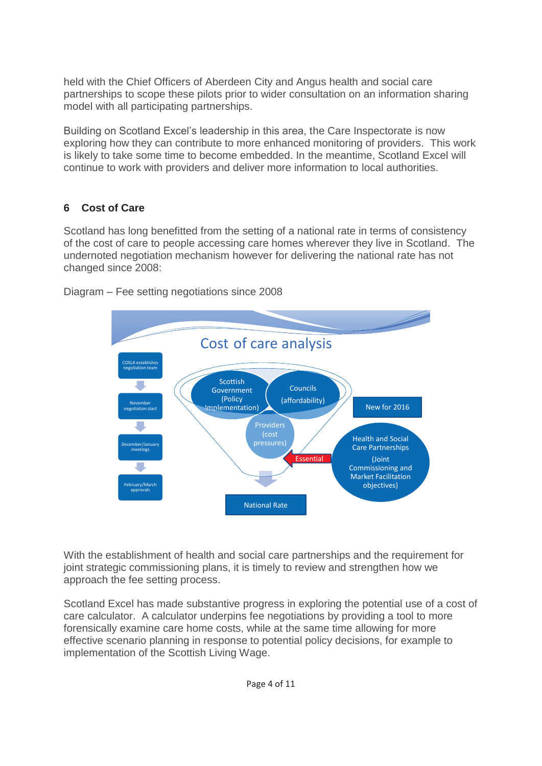held with the Chief Officers of Aberdeen City and Angus health and social care partnerships to scope these pilots prior to wider consultation on an information sharing model with all participating partnerships.

Building on Scotland Excel's leadership in this area, the Care Inspectorate is now exploring how they can contribute to more enhanced monitoring of providers. This work is likely to take some time to become embedded. In the meantime, Scotland Excel will continue to work with providers and deliver more information to local authorities.

### **6 Cost of Care**

Scotland has long benefitted from the setting of a national rate in terms of consistency of the cost of care to people accessing care homes wherever they live in Scotland. The undernoted negotiation mechanism however for delivering the national rate has not changed since 2008:



Diagram – Fee setting negotiations since 2008

With the establishment of health and social care partnerships and the requirement for joint strategic commissioning plans, it is timely to review and strengthen how we approach the fee setting process.

Scotland Excel has made substantive progress in exploring the potential use of a cost of care calculator. A calculator underpins fee negotiations by providing a tool to more forensically examine care home costs, while at the same time allowing for more effective scenario planning in response to potential policy decisions, for example to implementation of the Scottish Living Wage.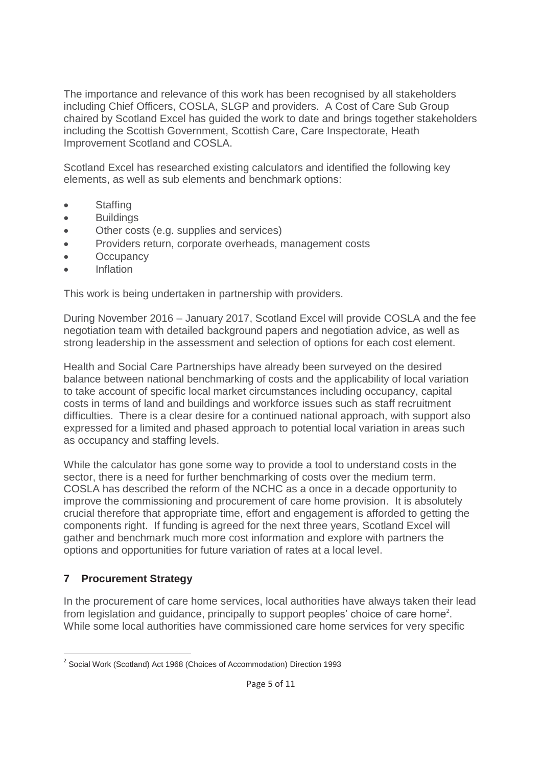The importance and relevance of this work has been recognised by all stakeholders including Chief Officers, COSLA, SLGP and providers. A Cost of Care Sub Group chaired by Scotland Excel has guided the work to date and brings together stakeholders including the Scottish Government, Scottish Care, Care Inspectorate, Heath Improvement Scotland and COSLA.

Scotland Excel has researched existing calculators and identified the following key elements, as well as sub elements and benchmark options:

- Staffing
- Buildings
- Other costs (e.g. supplies and services)
- Providers return, corporate overheads, management costs
- Occupancy
- **•** Inflation

This work is being undertaken in partnership with providers.

During November 2016 – January 2017, Scotland Excel will provide COSLA and the fee negotiation team with detailed background papers and negotiation advice, as well as strong leadership in the assessment and selection of options for each cost element.

Health and Social Care Partnerships have already been surveyed on the desired balance between national benchmarking of costs and the applicability of local variation to take account of specific local market circumstances including occupancy, capital costs in terms of land and buildings and workforce issues such as staff recruitment difficulties. There is a clear desire for a continued national approach, with support also expressed for a limited and phased approach to potential local variation in areas such as occupancy and staffing levels.

While the calculator has gone some way to provide a tool to understand costs in the sector, there is a need for further benchmarking of costs over the medium term. COSLA has described the reform of the NCHC as a once in a decade opportunity to improve the commissioning and procurement of care home provision. It is absolutely crucial therefore that appropriate time, effort and engagement is afforded to getting the components right. If funding is agreed for the next three years, Scotland Excel will gather and benchmark much more cost information and explore with partners the options and opportunities for future variation of rates at a local level.

## **7 Procurement Strategy**

In the procurement of care home services, local authorities have always taken their lead from legislation and guidance, principally to support peoples' choice of care home<sup>2</sup>. While some local authorities have commissioned care home services for very specific

<sup>-</sup><sup>2</sup> Social Work (Scotland) Act 1968 (Choices of Accommodation) Direction 1993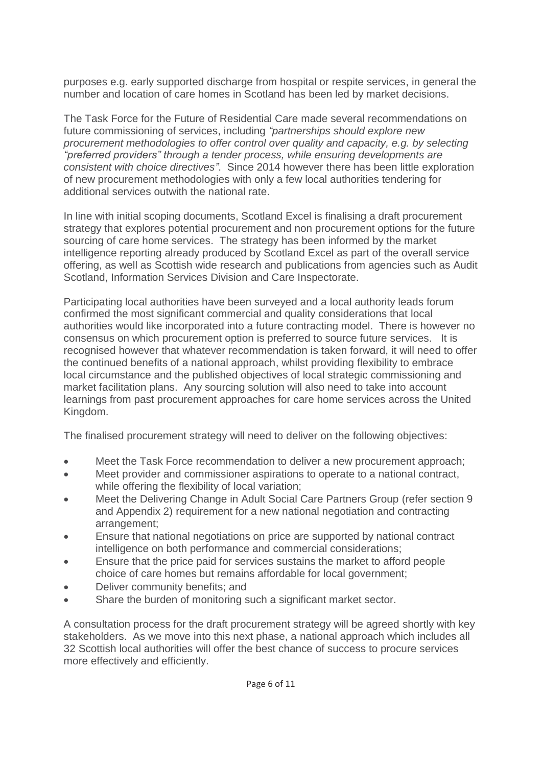purposes e.g. early supported discharge from hospital or respite services, in general the number and location of care homes in Scotland has been led by market decisions.

The Task Force for the Future of Residential Care made several recommendations on future commissioning of services, including *"partnerships should explore new procurement methodologies to offer control over quality and capacity, e.g. by selecting "preferred providers" through a tender process, while ensuring developments are consistent with choice directives"*. Since 2014 however there has been little exploration of new procurement methodologies with only a few local authorities tendering for additional services outwith the national rate.

In line with initial scoping documents, Scotland Excel is finalising a draft procurement strategy that explores potential procurement and non procurement options for the future sourcing of care home services. The strategy has been informed by the market intelligence reporting already produced by Scotland Excel as part of the overall service offering, as well as Scottish wide research and publications from agencies such as Audit Scotland, Information Services Division and Care Inspectorate.

Participating local authorities have been surveyed and a local authority leads forum confirmed the most significant commercial and quality considerations that local authorities would like incorporated into a future contracting model. There is however no consensus on which procurement option is preferred to source future services. It is recognised however that whatever recommendation is taken forward, it will need to offer the continued benefits of a national approach, whilst providing flexibility to embrace local circumstance and the published objectives of local strategic commissioning and market facilitation plans. Any sourcing solution will also need to take into account learnings from past procurement approaches for care home services across the United Kingdom.

The finalised procurement strategy will need to deliver on the following objectives:

- Meet the Task Force recommendation to deliver a new procurement approach;
- Meet provider and commissioner aspirations to operate to a national contract, while offering the flexibility of local variation;
- Meet the Delivering Change in Adult Social Care Partners Group (refer section 9 and Appendix 2) requirement for a new national negotiation and contracting arrangement;
- Ensure that national negotiations on price are supported by national contract intelligence on both performance and commercial considerations;
- Ensure that the price paid for services sustains the market to afford people choice of care homes but remains affordable for local government;
- Deliver community benefits; and
- Share the burden of monitoring such a significant market sector.

A consultation process for the draft procurement strategy will be agreed shortly with key stakeholders. As we move into this next phase, a national approach which includes all 32 Scottish local authorities will offer the best chance of success to procure services more effectively and efficiently.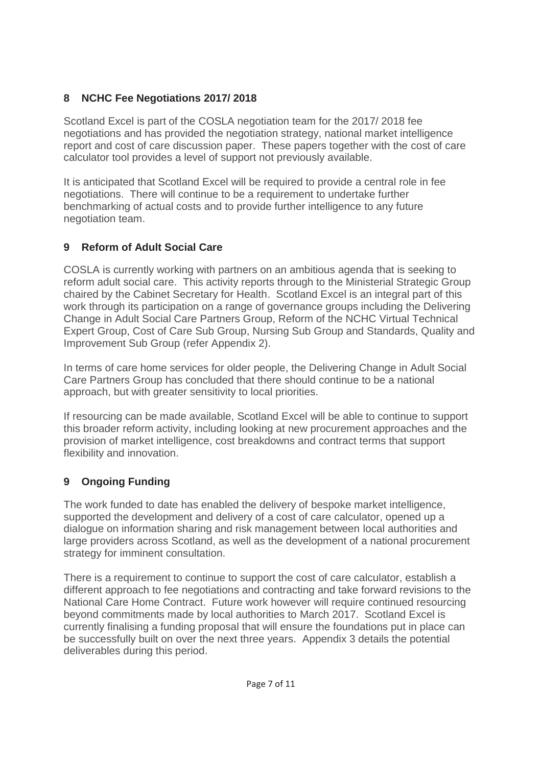## **8 NCHC Fee Negotiations 2017/ 2018**

Scotland Excel is part of the COSLA negotiation team for the 2017/ 2018 fee negotiations and has provided the negotiation strategy, national market intelligence report and cost of care discussion paper. These papers together with the cost of care calculator tool provides a level of support not previously available.

It is anticipated that Scotland Excel will be required to provide a central role in fee negotiations. There will continue to be a requirement to undertake further benchmarking of actual costs and to provide further intelligence to any future negotiation team.

# **9 Reform of Adult Social Care**

COSLA is currently working with partners on an ambitious agenda that is seeking to reform adult social care. This activity reports through to the Ministerial Strategic Group chaired by the Cabinet Secretary for Health. Scotland Excel is an integral part of this work through its participation on a range of governance groups including the Delivering Change in Adult Social Care Partners Group, Reform of the NCHC Virtual Technical Expert Group, Cost of Care Sub Group, Nursing Sub Group and Standards, Quality and Improvement Sub Group (refer Appendix 2).

In terms of care home services for older people, the Delivering Change in Adult Social Care Partners Group has concluded that there should continue to be a national approach, but with greater sensitivity to local priorities.

If resourcing can be made available, Scotland Excel will be able to continue to support this broader reform activity, including looking at new procurement approaches and the provision of market intelligence, cost breakdowns and contract terms that support flexibility and innovation.

# **9 Ongoing Funding**

The work funded to date has enabled the delivery of bespoke market intelligence, supported the development and delivery of a cost of care calculator, opened up a dialogue on information sharing and risk management between local authorities and large providers across Scotland, as well as the development of a national procurement strategy for imminent consultation.

There is a requirement to continue to support the cost of care calculator, establish a different approach to fee negotiations and contracting and take forward revisions to the National Care Home Contract. Future work however will require continued resourcing beyond commitments made by local authorities to March 2017. Scotland Excel is currently finalising a funding proposal that will ensure the foundations put in place can be successfully built on over the next three years. Appendix 3 details the potential deliverables during this period.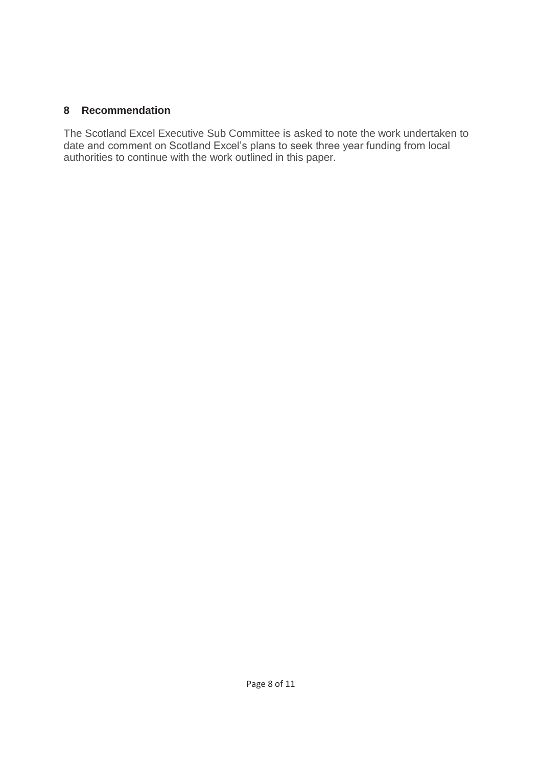#### **8 Recommendation**

The Scotland Excel Executive Sub Committee is asked to note the work undertaken to date and comment on Scotland Excel's plans to seek three year funding from local authorities to continue with the work outlined in this paper.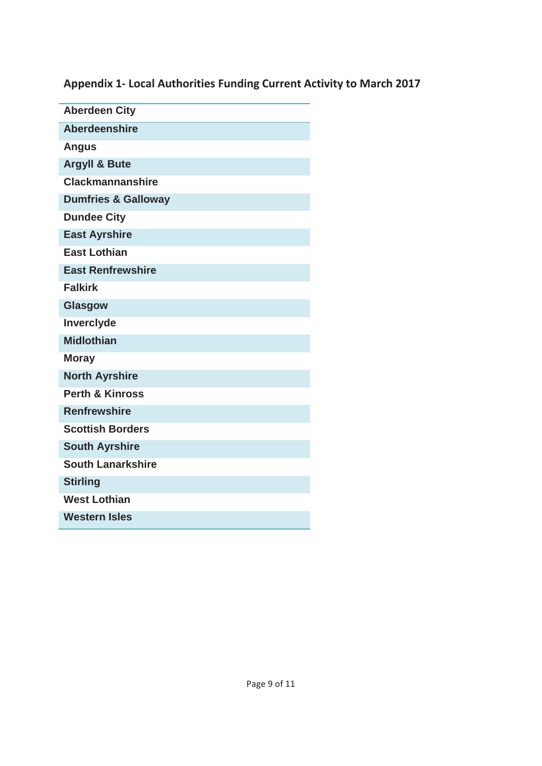**Appendix 1- Local Authorities Funding Current Activity to March 2017** 

| <b>Aberdeen City</b>           |  |
|--------------------------------|--|
| <b>Aberdeenshire</b>           |  |
| <b>Angus</b>                   |  |
| <b>Argyll &amp; Bute</b>       |  |
| <b>Clackmannanshire</b>        |  |
| <b>Dumfries &amp; Galloway</b> |  |
| <b>Dundee City</b>             |  |
| <b>East Ayrshire</b>           |  |
| <b>East Lothian</b>            |  |
| <b>East Renfrewshire</b>       |  |
| <b>Falkirk</b>                 |  |
| Glasgow                        |  |
| Inverclyde                     |  |
| <b>Midlothian</b>              |  |
| <b>Moray</b>                   |  |
| <b>North Ayrshire</b>          |  |
| <b>Perth &amp; Kinross</b>     |  |
| <b>Renfrewshire</b>            |  |
| <b>Scottish Borders</b>        |  |
| <b>South Ayrshire</b>          |  |
| <b>South Lanarkshire</b>       |  |
| <b>Stirling</b>                |  |
| <b>West Lothian</b>            |  |
| <b>Western Isles</b>           |  |
|                                |  |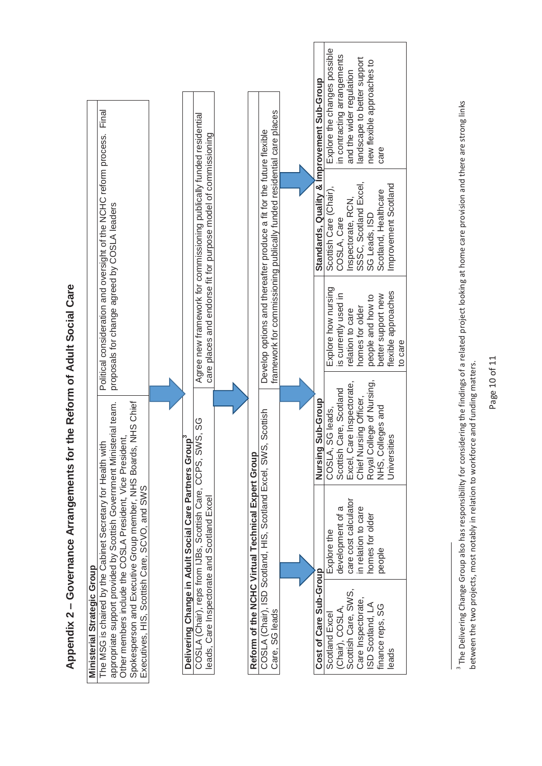Appendix 2 – Governance Arrangements for the Reform of Adult Social Care **Appendix 2 – Governance Arrangements for the Reform of Adult Social Care** 

<sup>&</sup>lt;sup>3</sup> The Delivering Change Group also has responsibility for considering the findings of a related project looking at home care provision and there are strong links<br>between the two projects, most notably in relation to work <sup>3</sup> The Delivering Change Group also has responsibility for considering the findings of a related project looking at home care provision and there are strong links between the two projects, most notably in relation to workforce and funding matters.